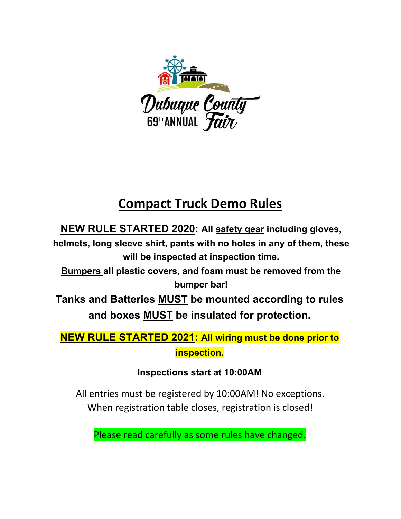

# **Compact Truck Demo Rules**

**NEW RULE STARTED 2020: All safety gear including gloves,** 

**helmets, long sleeve shirt, pants with no holes in any of them, these will be inspected at inspection time.** 

**Bumpers all plastic covers, and foam must be removed from the bumper bar!**

**Tanks and Batteries MUST be mounted according to rules and boxes MUST be insulated for protection.** 

**NEW RULE STARTED 2021: All wiring must be done prior to inspection.** 

**Inspections start at 10:00AM**

All entries must be registered by 10:00AM! No exceptions. When registration table closes, registration is closed!

Please read carefully as some rules have changed.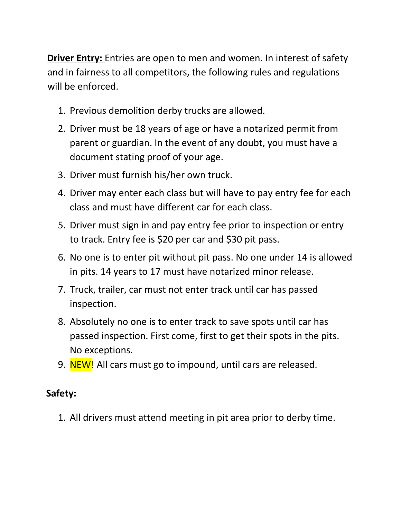**Driver Entry:** Entries are open to men and women. In interest of safety and in fairness to all competitors, the following rules and regulations will be enforced.

- 1. Previous demolition derby trucks are allowed.
- 2. Driver must be 18 years of age or have a notarized permit from parent or guardian. In the event of any doubt, you must have a document stating proof of your age.
- 3. Driver must furnish his/her own truck.
- 4. Driver may enter each class but will have to pay entry fee for each class and must have different car for each class.
- 5. Driver must sign in and pay entry fee prior to inspection or entry to track. Entry fee is \$20 per car and \$30 pit pass.
- 6. No one is to enter pit without pit pass. No one under 14 is allowed in pits. 14 years to 17 must have notarized minor release.
- 7. Truck, trailer, car must not enter track until car has passed inspection.
- 8. Absolutely no one is to enter track to save spots until car has passed inspection. First come, first to get their spots in the pits. No exceptions.
- 9. NEW! All cars must go to impound, until cars are released.

#### **Safety:**

1. All drivers must attend meeting in pit area prior to derby time.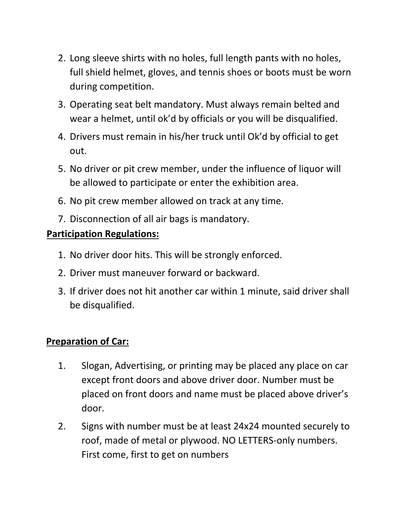- 2. Long sleeve shirts with no holes, full length pants with no holes, full shield helmet, gloves, and tennis shoes or boots must be worn during competition.
- 3. Operating seat belt mandatory. Must always remain belted and wear a helmet, until ok'd by officials or you will be disqualified.
- 4. Drivers must remain in his/her truck until Ok'd by official to get out.
- 5. No driver or pit crew member, under the influence of liquor will be allowed to participate or enter the exhibition area.
- 6. No pit crew member allowed on track at any time.
- 7. Disconnection of all air bags is mandatory.

#### **Participation Regulations:**

- 1. No driver door hits. This will be strongly enforced.
- 2. Driver must maneuver forward or backward.
- 3. If driver does not hit another car within 1 minute, said driver shall be disqualified.

### **Preparation of Car:**

- 1. Slogan, Advertising, or printing may be placed any place on car except front doors and above driver door. Number must be placed on front doors and name must be placed above driver's door.
- 2. Signs with number must be at least 24x24 mounted securely to roof, made of metal or plywood. NO LETTERS‐only numbers. First come, first to get on numbers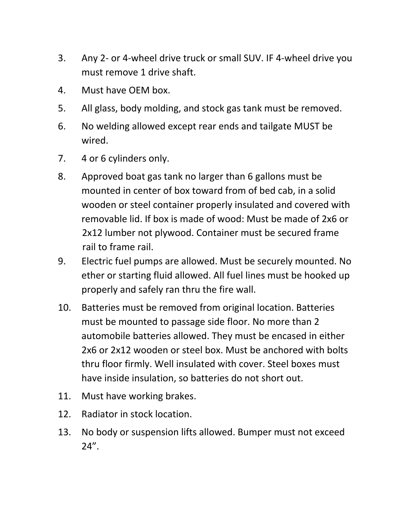- 3. Any 2‐ or 4‐wheel drive truck or small SUV. IF 4‐wheel drive you must remove 1 drive shaft.
- 4. Must have OEM box.
- 5. All glass, body molding, and stock gas tank must be removed.
- 6. No welding allowed except rear ends and tailgate MUST be wired.
- 7. 4 or 6 cylinders only.
- 8. Approved boat gas tank no larger than 6 gallons must be mounted in center of box toward from of bed cab, in a solid wooden or steel container properly insulated and covered with removable lid. If box is made of wood: Must be made of 2x6 or 2x12 lumber not plywood. Container must be secured frame rail to frame rail.
- 9. Electric fuel pumps are allowed. Must be securely mounted. No ether or starting fluid allowed. All fuel lines must be hooked up properly and safely ran thru the fire wall.
- 10. Batteries must be removed from original location. Batteries must be mounted to passage side floor. No more than 2 automobile batteries allowed. They must be encased in either 2x6 or 2x12 wooden or steel box. Must be anchored with bolts thru floor firmly. Well insulated with cover. Steel boxes must have inside insulation, so batteries do not short out.
- 11. Must have working brakes.
- 12. Radiator in stock location.
- 13. No body or suspension lifts allowed. Bumper must not exceed  $24''$ .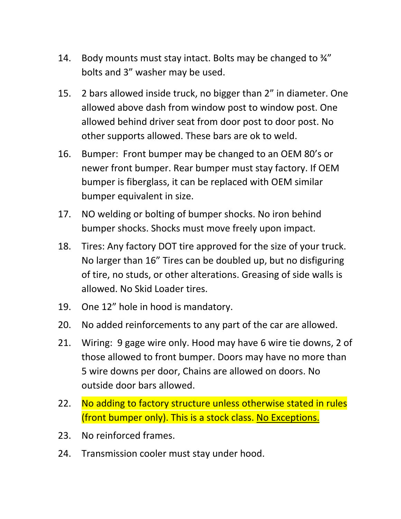- 14. Body mounts must stay intact. Bolts may be changed to  $\frac{3}{4}$ " bolts and 3" washer may be used.
- 15. 2 bars allowed inside truck, no bigger than 2" in diameter. One allowed above dash from window post to window post. One allowed behind driver seat from door post to door post. No other supports allowed. These bars are ok to weld.
- 16. Bumper: Front bumper may be changed to an OEM 80's or newer front bumper. Rear bumper must stay factory. If OEM bumper is fiberglass, it can be replaced with OEM similar bumper equivalent in size.
- 17. NO welding or bolting of bumper shocks. No iron behind bumper shocks. Shocks must move freely upon impact.
- 18. Tires: Any factory DOT tire approved for the size of your truck. No larger than 16" Tires can be doubled up, but no disfiguring of tire, no studs, or other alterations. Greasing of side walls is allowed. No Skid Loader tires.
- 19. One 12" hole in hood is mandatory.
- 20. No added reinforcements to any part of the car are allowed.
- 21. Wiring: 9 gage wire only. Hood may have 6 wire tie downs, 2 of those allowed to front bumper. Doors may have no more than 5 wire downs per door, Chains are allowed on doors. No outside door bars allowed.
- 22. No adding to factory structure unless otherwise stated in rules (front bumper only). This is a stock class. No Exceptions.
- 23. No reinforced frames.
- 24. Transmission cooler must stay under hood.